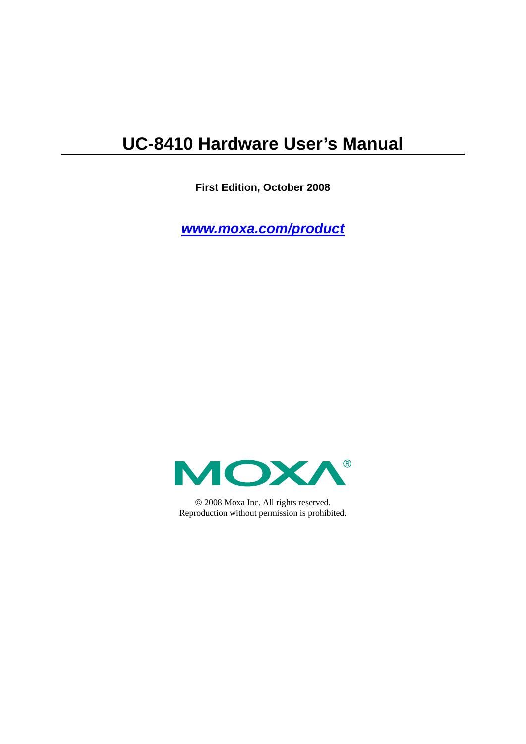## **UC-8410 Hardware User's Manual**

**First Edition, October 2008** 

*[www.moxa.com/product](http://www.moxa.com/product)*



© 2008 Moxa Inc. All rights reserved. Reproduction without permission is prohibited.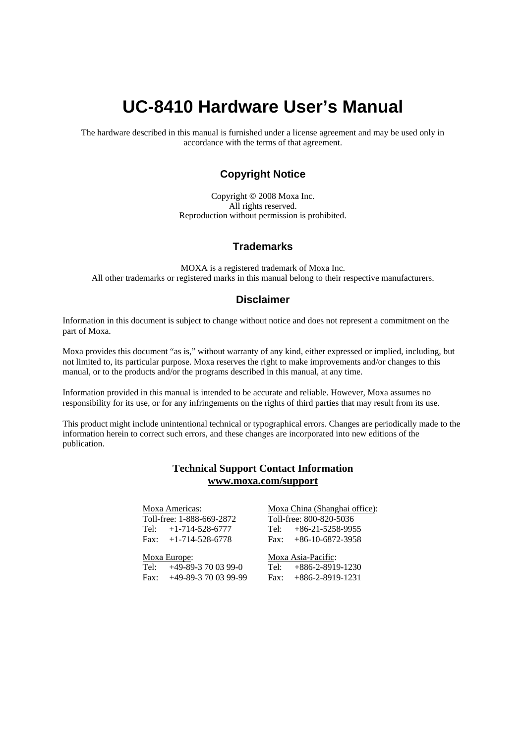## **UC-8410 Hardware User's Manual**

The hardware described in this manual is furnished under a license agreement and may be used only in accordance with the terms of that agreement.

#### **Copyright Notice**

Copyright © 2008 Moxa Inc. All rights reserved. Reproduction without permission is prohibited.

#### **Trademarks**

MOXA is a registered trademark of Moxa Inc. All other trademarks or registered marks in this manual belong to their respective manufacturers.

#### **Disclaimer**

Information in this document is subject to change without notice and does not represent a commitment on the part of Moxa.

Moxa provides this document "as is," without warranty of any kind, either expressed or implied, including, but not limited to, its particular purpose. Moxa reserves the right to make improvements and/or changes to this manual, or to the products and/or the programs described in this manual, at any time.

Information provided in this manual is intended to be accurate and reliable. However, Moxa assumes no responsibility for its use, or for any infringements on the rights of third parties that may result from its use.

This product might include unintentional technical or typographical errors. Changes are periodically made to the information herein to correct such errors, and these changes are incorporated into new editions of the publication.

#### **Technical Support Contact Information [www.moxa.com/support](http://www.moxa.com/support)**

#### Moxa Americas:

Toll-free: 1-888-669-2872 Tel: +1-714-528-6777 Fax:  $+1-714-528-6778$ 

#### Moxa China (Shanghai office): Toll-free: 800-820-5036 Tel: +86-21-5258-9955

 $Fax: +86-10-6872-3958$ 

#### Moxa Europe:

Tel: +49-89-3 70 03 99-0 Fax: +49-89-3 70 03 99-99 Moxa Asia-Pacific:

Tel: +886-2-8919-1230 Fax: +886-2-8919-1231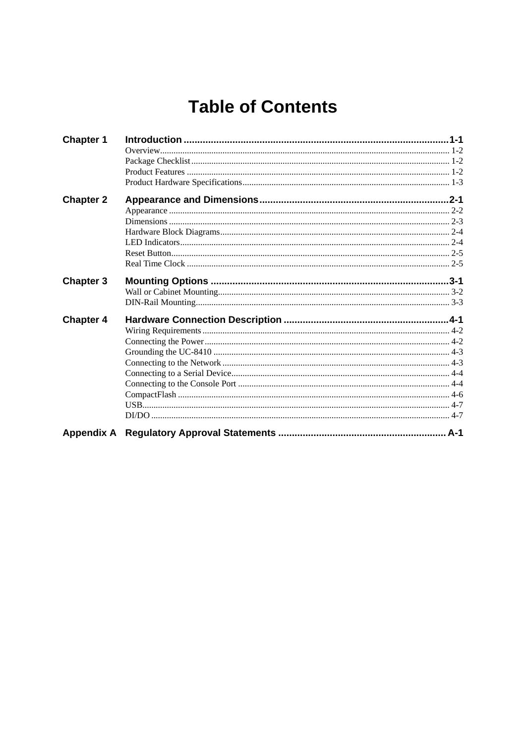## **Table of Contents**

| <b>Chapter 1</b> |  |
|------------------|--|
|                  |  |
|                  |  |
|                  |  |
|                  |  |
| <b>Chapter 2</b> |  |
|                  |  |
|                  |  |
|                  |  |
|                  |  |
|                  |  |
|                  |  |
| <b>Chapter 3</b> |  |
|                  |  |
|                  |  |
| <b>Chapter 4</b> |  |
|                  |  |
|                  |  |
|                  |  |
|                  |  |
|                  |  |
|                  |  |
|                  |  |
|                  |  |
|                  |  |
|                  |  |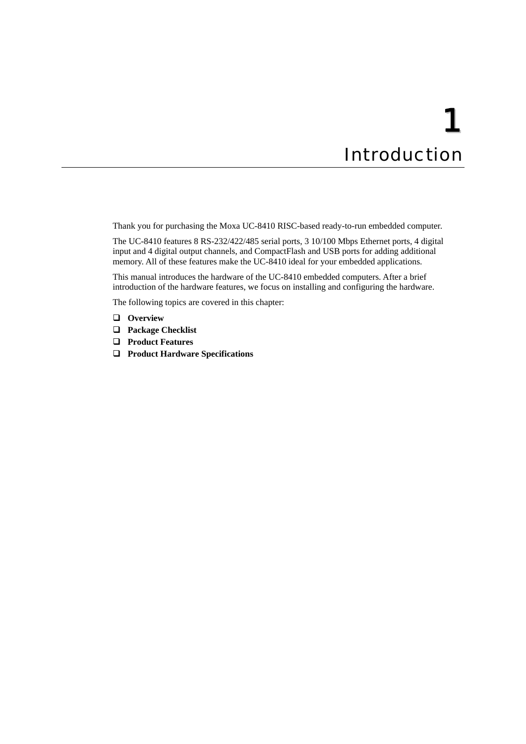## 1 **Introduction**

<span id="page-3-0"></span>Thank you for purchasing the Moxa UC-8410 RISC-based ready-to-run embedded computer.

The UC-8410 features 8 RS-232/422/485 serial ports, 3 10/100 Mbps Ethernet ports, 4 digital input and 4 digital output channels, and CompactFlash and USB ports for adding additional memory. All of these features make the UC-8410 ideal for your embedded applications.

This manual introduces the hardware of the UC-8410 embedded computers. After a brief introduction of the hardware features, we focus on installing and configuring the hardware.

The following topics are covered in this chapter:

- **[Overview](#page-4-1)**
- **[Package Checklist](#page-4-2)**
- **[Product Features](#page-4-3)**
- **[Product Hardware Specifications](#page-5-1)**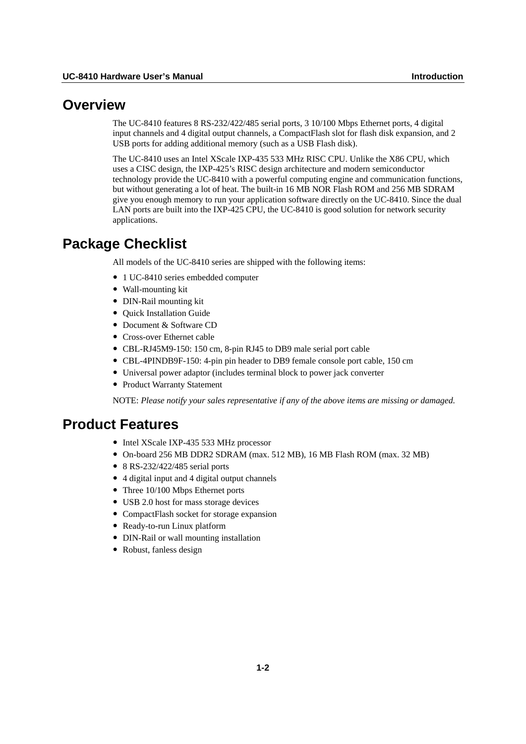#### <span id="page-4-1"></span><span id="page-4-0"></span>**Overview**

The UC-8410 features 8 RS-232/422/485 serial ports, 3 10/100 Mbps Ethernet ports, 4 digital input channels and 4 digital output channels, a CompactFlash slot for flash disk expansion, and 2 USB ports for adding additional memory (such as a USB Flash disk).

The UC-8410 uses an Intel XScale IXP-435 533 MHz RISC CPU. Unlike the X86 CPU, which uses a CISC design, the IXP-425's RISC design architecture and modern semiconductor technology provide the UC-8410 with a powerful computing engine and communication functions, but without generating a lot of heat. The built-in 16 MB NOR Flash ROM and 256 MB SDRAM give you enough memory to run your application software directly on the UC-8410. Since the dual LAN ports are built into the IXP-425 CPU, the UC-8410 is good solution for network security applications.

### <span id="page-4-2"></span>**Package Checklist**

All models of the UC-8410 series are shipped with the following items:

- 1 UC-8410 series embedded computer
- Wall-mounting kit
- DIN-Rail mounting kit
- Ouick Installation Guide
- Document & Software CD
- Cross-over Ethernet cable
- y CBL-RJ45M9-150: 150 cm, 8-pin RJ45 to DB9 male serial port cable
- y CBL-4PINDB9F-150: 4-pin pin header to DB9 female console port cable, 150 cm
- Universal power adaptor (includes terminal block to power jack converter
- Product Warranty Statement

NOTE: *Please notify your sales representative if any of the above items are missing or damaged.*

## <span id="page-4-3"></span>**Product Features**

- Intel XScale IXP-435 533 MHz processor
- y On-board 256 MB DDR2 SDRAM (max. 512 MB), 16 MB Flash ROM (max. 32 MB)
- $\bullet$  8 RS-232/422/485 serial ports
- y 4 digital input and 4 digital output channels
- Three 10/100 Mbps Ethernet ports
- USB 2.0 host for mass storage devices
- CompactFlash socket for storage expansion
- Ready-to-run Linux platform
- DIN-Rail or wall mounting installation
- Robust, fanless design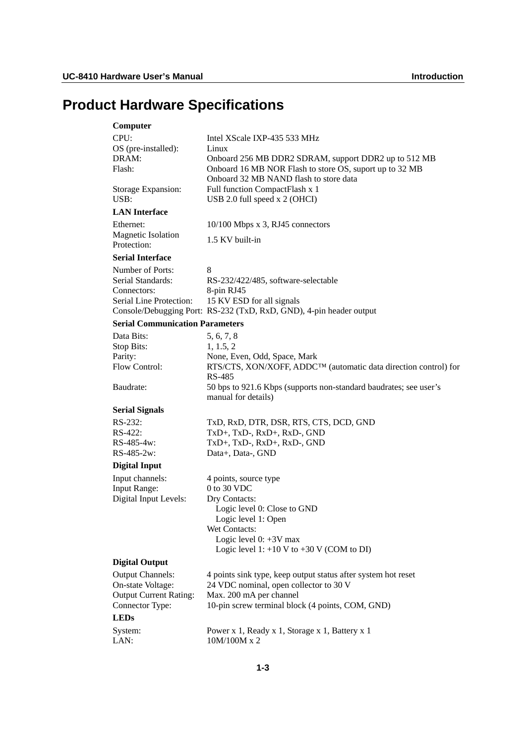## <span id="page-5-1"></span><span id="page-5-0"></span>**Product Hardware Specifications**

| Computer                                           |                                                                                                   |
|----------------------------------------------------|---------------------------------------------------------------------------------------------------|
| CPU:                                               | Intel XScale IXP-435 533 MHz                                                                      |
| OS (pre-installed):                                | Linux                                                                                             |
| DRAM:                                              | Onboard 256 MB DDR2 SDRAM, support DDR2 up to 512 MB                                              |
| Flash:                                             | Onboard 16 MB NOR Flash to store OS, suport up to 32 MB<br>Onboard 32 MB NAND flash to store data |
| Storage Expansion:<br>USB:                         | Full function CompactFlash x 1<br>USB 2.0 full speed x 2 (OHCI)                                   |
| <b>LAN</b> Interface                               |                                                                                                   |
| Ethernet:                                          | 10/100 Mbps x 3, RJ45 connectors                                                                  |
| <b>Magnetic Isolation</b><br>Protection:           | 1.5 KV built-in                                                                                   |
| <b>Serial Interface</b>                            |                                                                                                   |
| Number of Ports:                                   | 8                                                                                                 |
| Serial Standards:                                  | RS-232/422/485, software-selectable                                                               |
| Connectors:                                        | 8-pin RJ45                                                                                        |
| Serial Line Protection:                            | 15 KV ESD for all signals                                                                         |
|                                                    | Console/Debugging Port: RS-232 (TxD, RxD, GND), 4-pin header output                               |
| <b>Serial Communication Parameters</b>             |                                                                                                   |
| Data Bits:                                         | 5, 6, 7, 8                                                                                        |
| Stop Bits:                                         | 1, 1.5, 2                                                                                         |
| Parity:                                            | None, Even, Odd, Space, Mark                                                                      |
| Flow Control:                                      | RTS/CTS, XON/XOFF, ADDC™ (automatic data direction control) for                                   |
|                                                    | RS-485                                                                                            |
| Baudrate:                                          | 50 bps to 921.6 Kbps (supports non-standard baudrates; see user's<br>manual for details)          |
| <b>Serial Signals</b>                              |                                                                                                   |
| RS-232:                                            | TxD, RxD, DTR, DSR, RTS, CTS, DCD, GND                                                            |
| RS-422:                                            | TxD+, TxD-, RxD+, RxD-, GND                                                                       |
| RS-485-4w:                                         | TxD+, TxD-, RxD+, RxD-, GND                                                                       |
| RS-485-2w:                                         | Data+, Data-, GND                                                                                 |
| <b>Digital Input</b>                               |                                                                                                   |
| Input channels:                                    | 4 points, source type                                                                             |
| Input Range:                                       | 0 to 30 VDC                                                                                       |
| Digital Input Levels:                              | Dry Contacts:                                                                                     |
|                                                    | Logic level 0: Close to GND                                                                       |
|                                                    | Logic level 1: Open                                                                               |
|                                                    | Wet Contacts:                                                                                     |
|                                                    | Logic level $0: +3V$ max<br>Logic level 1: $+10$ V to $+30$ V (COM to DI)                         |
|                                                    |                                                                                                   |
| <b>Digital Output</b>                              |                                                                                                   |
| <b>Output Channels:</b>                            | 4 points sink type, keep output status after system hot reset                                     |
| On-state Voltage:<br><b>Output Current Rating:</b> | 24 VDC nominal, open collector to 30 V<br>Max. 200 mA per channel                                 |
| Connector Type:                                    | 10-pin screw terminal block (4 points, COM, GND)                                                  |
| <b>LEDs</b>                                        |                                                                                                   |
|                                                    |                                                                                                   |
| System:                                            | Power x 1, Ready x 1, Storage x 1, Battery x 1                                                    |
| LAN:                                               | 10M/100M x 2                                                                                      |
|                                                    |                                                                                                   |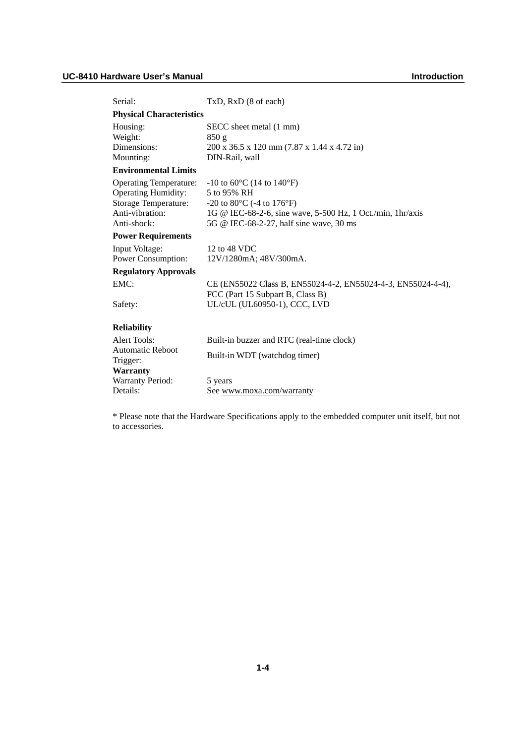| Serial:                         | TxD, RxD (8 of each)                                               |
|---------------------------------|--------------------------------------------------------------------|
| <b>Physical Characteristics</b> |                                                                    |
| Housing:                        | SECC sheet metal (1 mm)                                            |
| Weight:                         | 850g                                                               |
| Dimensions:                     | 200 x 36.5 x 120 mm (7.87 x 1.44 x 4.72 in)                        |
| Mounting:                       | DIN-Rail, wall                                                     |
| <b>Environmental Limits</b>     |                                                                    |
| <b>Operating Temperature:</b>   | $-10$ to 60 $\degree$ C (14 to 140 $\degree$ F)                    |
| <b>Operating Humidity:</b>      | 5 to 95% RH                                                        |
| Storage Temperature:            | $-20$ to 80 $\mathrm{^{\circ}C}$ (-4 to 176 $\mathrm{^{\circ}F}$ ) |
| Anti-vibration:                 | 1G @ IEC-68-2-6, sine wave, 5-500 Hz, 1 Oct./min, 1hr/axis         |
| Anti-shock:                     | 5G @ IEC-68-2-27, half sine wave, 30 ms                            |
| <b>Power Requirements</b>       |                                                                    |
| Input Voltage:                  | 12 to 48 VDC                                                       |
| Power Consumption:              | 12V/1280mA; 48V/300mA.                                             |
| <b>Regulatory Approvals</b>     |                                                                    |
| EMC:                            | CE (EN55022 Class B, EN55024-4-2, EN55024-4-3, EN55024-4-4),       |
|                                 | FCC (Part 15 Subpart B, Class B)                                   |
| Safety:                         | UL/cUL (UL60950-1), CCC, LVD                                       |
|                                 |                                                                    |
| <b>Reliability</b>              |                                                                    |
| Alert Tools:                    | Built-in buzzer and RTC (real-time clock)                          |
| <b>Automatic Reboot</b>         |                                                                    |
| Trigger:                        | Built-in WDT (watchdog timer)                                      |
| <b>Warranty</b>                 |                                                                    |
| <b>Warranty Period:</b>         | 5 years                                                            |
| Details:                        | See www.moxa.com/warranty                                          |

\* Please note that the Hardware Specifications apply to the embedded computer unit itself, but not to accessories.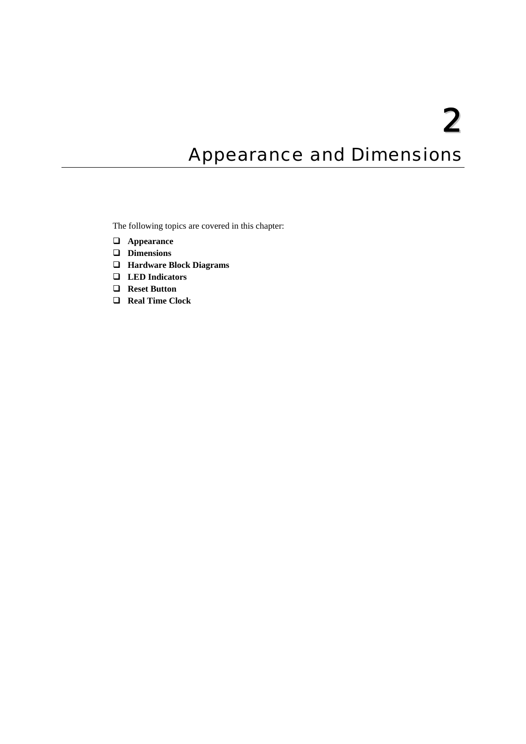## <span id="page-7-0"></span>**Appearance and Dimensions**

The following topics are covered in this chapter:

- **[Appearance](#page-8-1)**
- **[Dimensions](#page-9-1)**
- **[Hardware Block Diagrams](#page-10-1)**
- **[LED Indicators](#page-10-2)**
- **[Reset Button](#page-11-1)**
- **[Real Time Clock](#page-11-2)**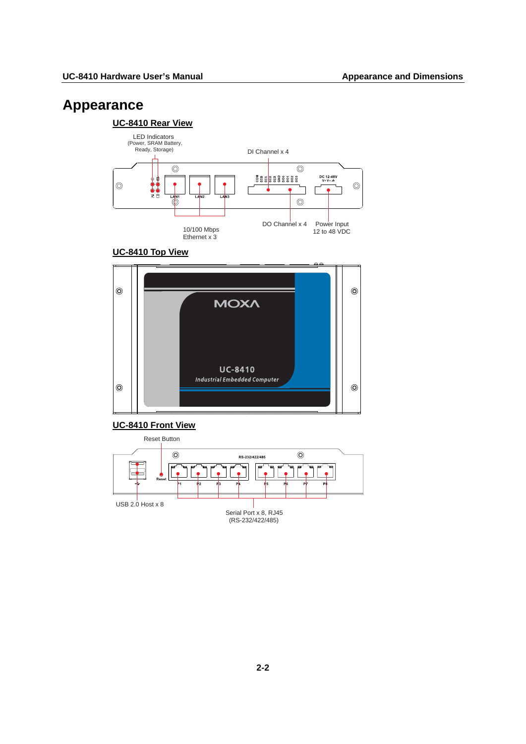## <span id="page-8-1"></span><span id="page-8-0"></span>**Appearance**

#### **UC-8410 Rear View**



#### **UC-8410 Top View**



#### **UC-8410 Front View**

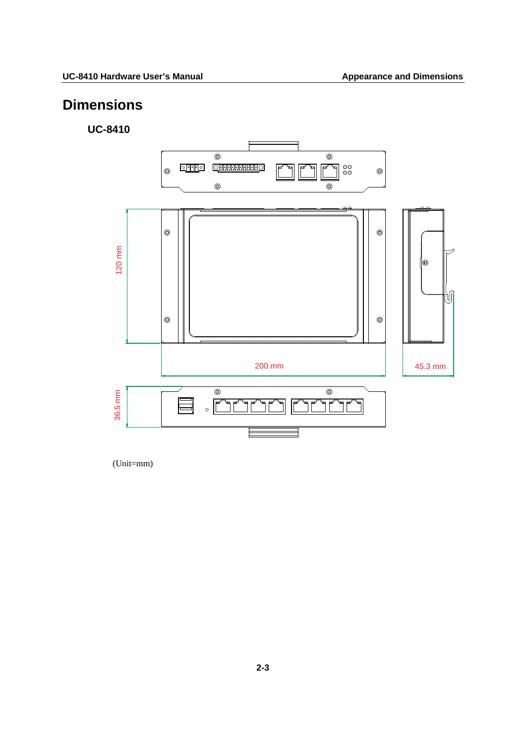## <span id="page-9-1"></span><span id="page-9-0"></span>**Dimensions**

#### **UC-8410**



(Unit=mm)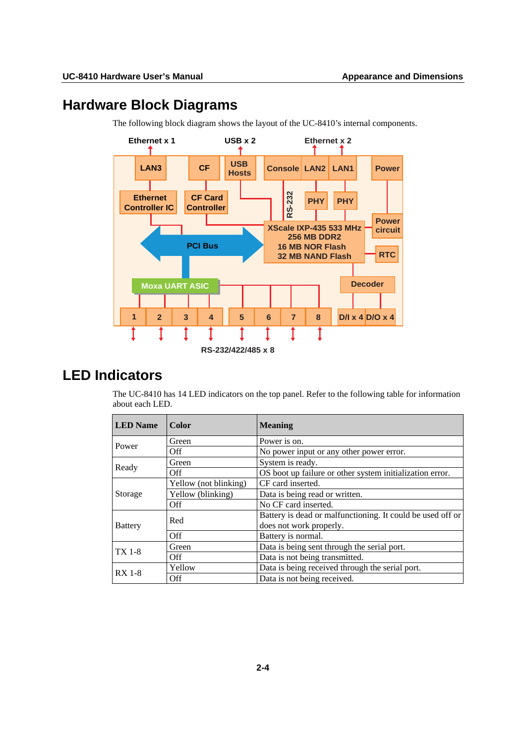## <span id="page-10-1"></span><span id="page-10-0"></span>**Hardware Block Diagrams**



The following block diagram shows the layout of the UC-8410's internal components.

## <span id="page-10-2"></span>**LED Indicators**

The UC-8410 has 14 LED indicators on the top panel. Refer to the following table for information about each LED.

| <b>LED</b> Name | <b>Color</b>          | <b>Meaning</b>                                             |  |  |
|-----------------|-----------------------|------------------------------------------------------------|--|--|
| Power           | Green                 | Power is on.                                               |  |  |
|                 | Off                   | No power input or any other power error.                   |  |  |
|                 | Green                 | System is ready.                                           |  |  |
| Ready           | Off.                  | OS boot up failure or other system initialization error.   |  |  |
|                 | Yellow (not blinking) | CF card inserted.                                          |  |  |
| Storage         | Yellow (blinking)     | Data is being read or written.                             |  |  |
|                 | Off                   | No CF card inserted.                                       |  |  |
| <b>Battery</b>  | Red                   | Battery is dead or malfunctioning. It could be used off or |  |  |
|                 |                       | does not work properly.                                    |  |  |
|                 | Off                   | Battery is normal.                                         |  |  |
| <b>TX 1-8</b>   | Green                 | Data is being sent through the serial port.                |  |  |
|                 | Off                   | Data is not being transmitted.                             |  |  |
| <b>RX</b> 1-8   | Yellow                | Data is being received through the serial port.            |  |  |
|                 | Off                   | Data is not being received.                                |  |  |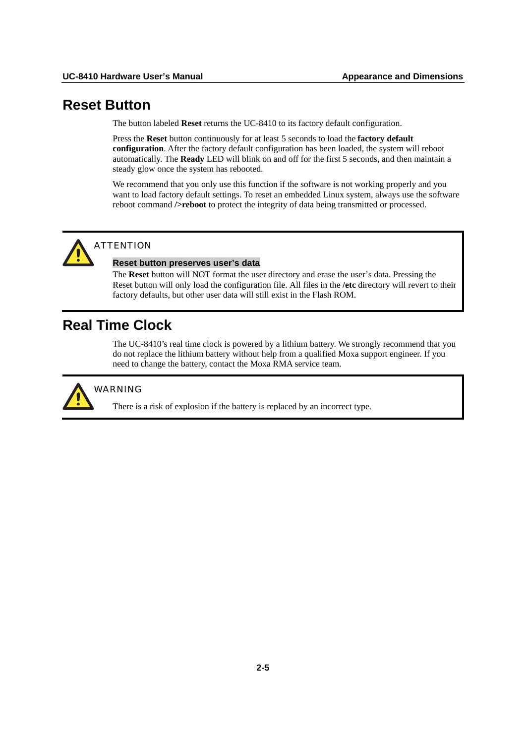### <span id="page-11-1"></span><span id="page-11-0"></span>**Reset Button**

The button labeled **Reset** returns the UC-8410 to its factory default configuration.

Press the **Reset** button continuously for at least 5 seconds to load the **factory default configuration**. After the factory default configuration has been loaded, the system will reboot automatically. The **Ready** LED will blink on and off for the first 5 seconds, and then maintain a steady glow once the system has rebooted.

We recommend that you only use this function if the software is not working properly and you want to load factory default settings. To reset an embedded Linux system, always use the software reboot command **/>reboot** to protect the integrity of data being transmitted or processed.



### ATTENTION

#### **Reset button preserves user's data**

The **Reset** button will NOT format the user directory and erase the user's data. Pressing the Reset button will only load the configuration file. All files in the **/etc** directory will revert to their factory defaults, but other user data will still exist in the Flash ROM.

## <span id="page-11-2"></span>**Real Time Clock**

The UC-8410's real time clock is powered by a lithium battery. We strongly recommend that you do not replace the lithium battery without help from a qualified Moxa support engineer. If you need to change the battery, contact the Moxa RMA service team.



#### WARNING

There is a risk of explosion if the battery is replaced by an incorrect type.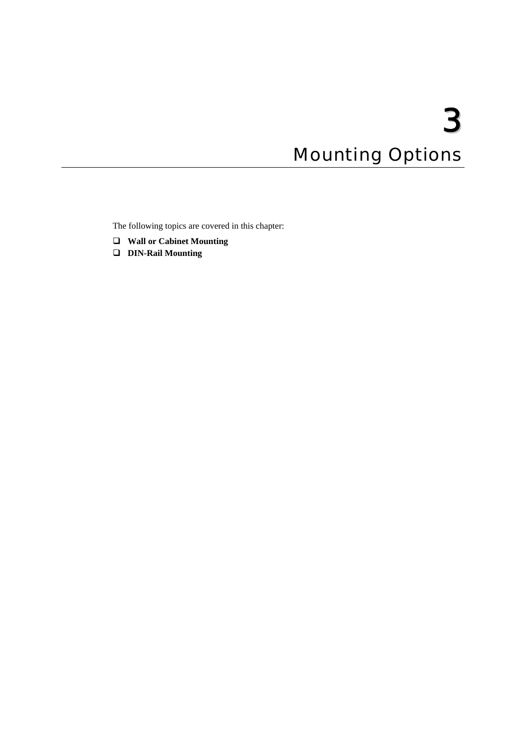# 3 **Mounting Options**

<span id="page-12-0"></span>The following topics are covered in this chapter:

- **[Wall or Cabinet Mounting](#page-13-1)**
- **[DIN-Rail Mounting](#page-14-1)**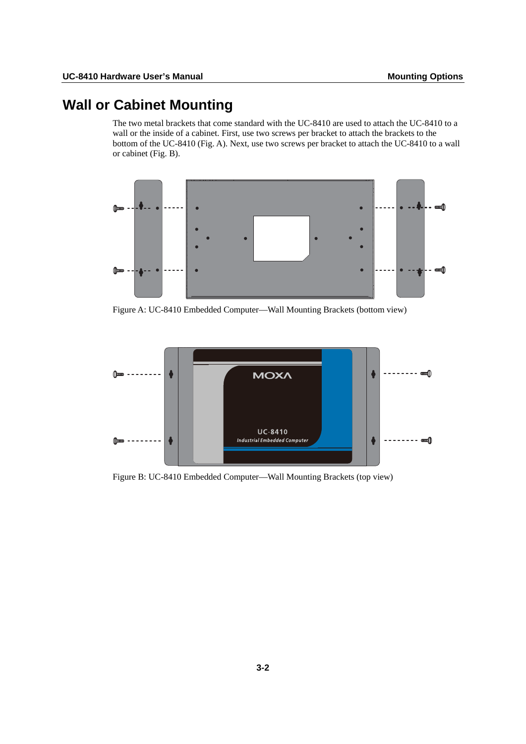## <span id="page-13-1"></span><span id="page-13-0"></span>**Wall or Cabinet Mounting**

The two metal brackets that come standard with the UC-8410 are used to attach the UC-8410 to a wall or the inside of a cabinet. First, use two screws per bracket to attach the brackets to the bottom of the UC-8410 (Fig. A). Next, use two screws per bracket to attach the UC-8410 to a wall or cabinet (Fig. B).



Figure A: UC-8410 Embedded Computer—Wall Mounting Brackets (bottom view)



Figure B: UC-8410 Embedded Computer—Wall Mounting Brackets (top view)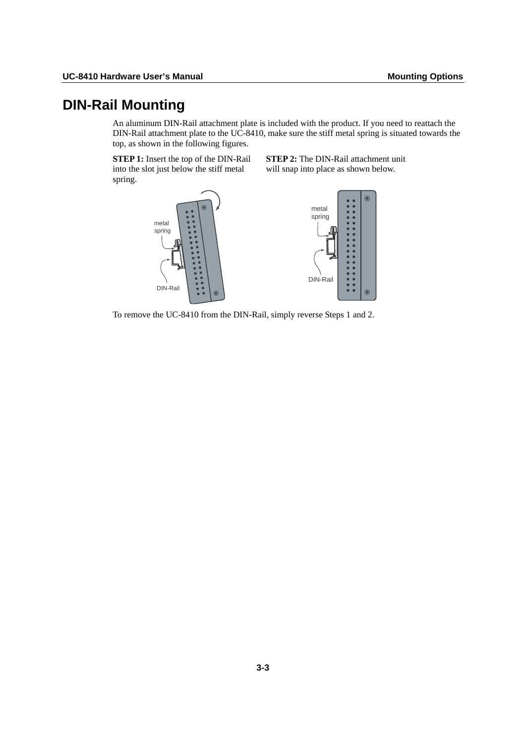## <span id="page-14-1"></span><span id="page-14-0"></span>**DIN-Rail Mounting**

An aluminum DIN-Rail attachment plate is included with the product. If you need to reattach the DIN-Rail attachment plate to the UC-8410, make sure the stiff metal spring is situated towards the top, as shown in the following figures.

**STEP 1:** Insert the top of the DIN-Rail into the slot just below the stiff metal spring.

**STEP 2:** The DIN-Rail attachment unit will snap into place as shown below.



To remove the UC-8410 from the DIN-Rail, simply reverse Steps 1 and 2.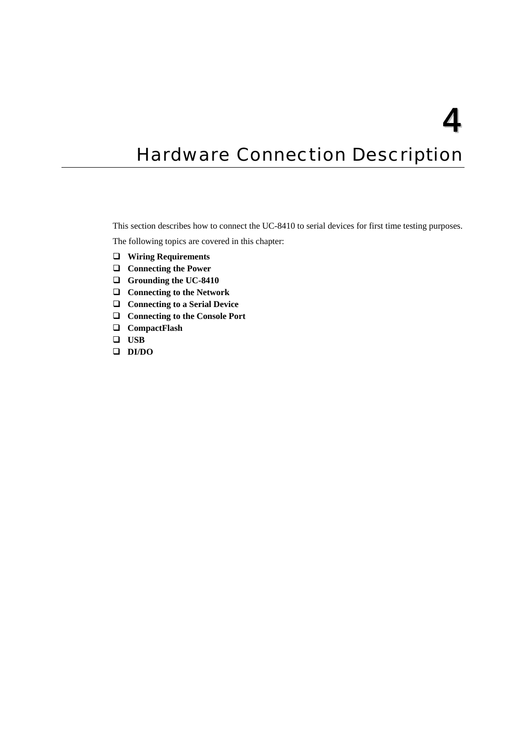## <span id="page-15-0"></span>**Hardware Connection Description**

This section describes how to connect the UC-8410 to serial devices for first time testing purposes.

The following topics are covered in this chapter:

- **Wiring Requirements**
- **Connecting the Power**
- **0 [Grounding the UC-841](#page-16-1)**
- **a** [Connecting to the Netw](#page-16-2)ork
- □ [Connecting to a Serial De](#page-17-1)vice
- □ [Connecting to the Console P](#page-17-2)ort
- **[CompactFlash](#page-18-1)**
- **[USB](#page-18-2)**
- **[DI/DO](#page-20-1)**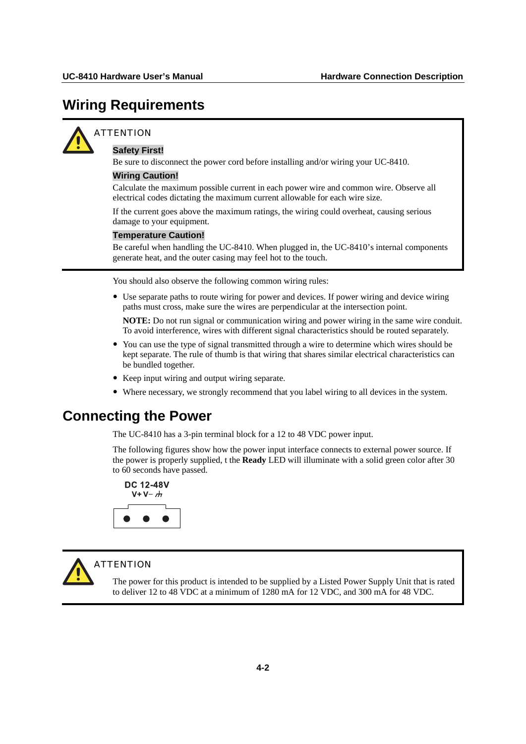## <span id="page-16-1"></span><span id="page-16-0"></span>**Wiring Requirements**



#### **ATTENTION**

#### **Safety First!**

Be sure to disconnect the power cord before installing and/or wiring your UC-8410.

#### **Wiring Caution!**

Calculate the maximum possible current in each power wire and common wire. Observe all electrical codes dictating the maximum current allowable for each wire size.

If the current goes above the maximum ratings, the wiring could overheat, causing serious damage to your equipment.

#### **Temperature Caution!**

Be careful when handling the UC-8410. When plugged in, the UC-8410's internal components generate heat, and the outer casing may feel hot to the touch.

You should also observe the following common wiring rules:

• Use separate paths to route wiring for power and devices. If power wiring and device wiring paths must cross, make sure the wires are perpendicular at the intersection point.

**NOTE:** Do not run signal or communication wiring and power wiring in the same wire conduit. To avoid interference, wires with different signal characteristics should be routed separately.

- You can use the type of signal transmitted through a wire to determine which wires should be kept separate. The rule of thumb is that wiring that shares similar electrical characteristics can be bundled together.
- Keep input wiring and output wiring separate.
- Where necessary, we strongly recommend that you label wiring to all devices in the system.

### <span id="page-16-2"></span>**Connecting the Power**

The UC-8410 has a 3-pin terminal block for a 12 to 48 VDC power input.

The following figures show how the power input interface connects to external power source. If the power is properly supplied, t the **Ready** LED will illuminate with a solid green color after 30 to 60 seconds have passed.





#### **ATTENTION**

The power for this product is intended to be supplied by a Listed Power Supply Unit that is rated to deliver 12 to 48 VDC at a minimum of 1280 mA for 12 VDC, and 300 mA for 48 VDC.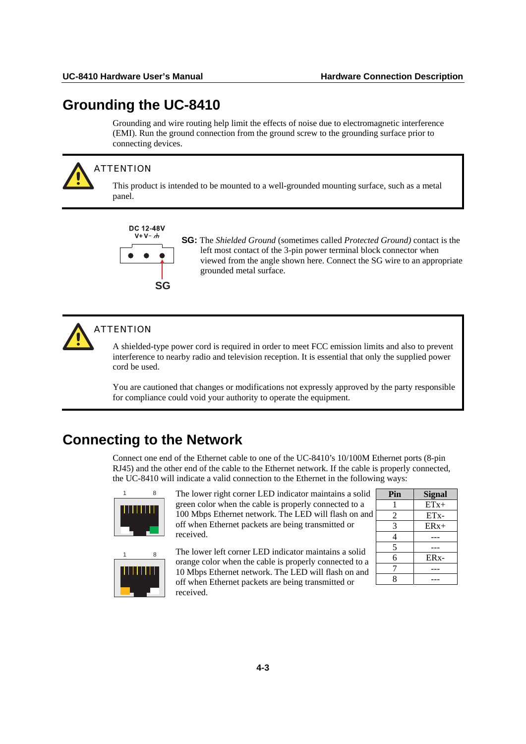## <span id="page-17-1"></span><span id="page-17-0"></span>**Grounding the UC-8410**

Grounding and wire routing help limit the effects of noise due to electromagnetic interference (EMI). Run the ground connection from the ground screw to the grounding surface prior to connecting devices.



#### **ATTENTION**

This product is intended to be mounted to a well-grounded mounting surface, such as a metal panel.

**DC 12-48V**  $V+V H$ **SG**

**SG:** The *Shielded Ground* (sometimes called *Protected Ground)* contact is the left most contact of the 3-pin power terminal block connector when viewed from the angle shown here. Connect the SG wire to an appropriate grounded metal surface.



#### **ATTENTION**

A shielded-type power cord is required in order to meet FCC emission limits and also to prevent interference to nearby radio and television reception. It is essential that only the supplied power cord be used.

You are cautioned that changes or modifications not expressly approved by the party responsible for compliance could void your authority to operate the equipment.

## <span id="page-17-2"></span>**Connecting to the Network**

Connect one end of the Ethernet cable to one of the UC-8410's 10/100M Ethernet ports (8-pin RJ45) and the other end of the cable to the Ethernet network. If the cable is properly connected, the UC-8410 will indicate a valid connection to the Ethernet in the following ways:



The lower right corner LED indicator maintains a solid green color when the cable is properly connected to a 100 Mbps Ethernet network. The LED will flash on and off when Ethernet packets are being transmitted or received.



<sub>8</sub> The lower left corner LED indicator maintains a solid orange color when the cable is properly connected to a 10 Mbps Ethernet network. The LED will flash on and off when Ethernet packets are being transmitted or received.

| Pin | <b>Signal</b>     |
|-----|-------------------|
|     | $ETx+$            |
| 2   | ET <sub>x</sub> - |
| 3   | $ERx+$            |
| 4   |                   |
| 5   |                   |
| 6   | ER <sub>x</sub> - |
| 7   |                   |
| Ջ   |                   |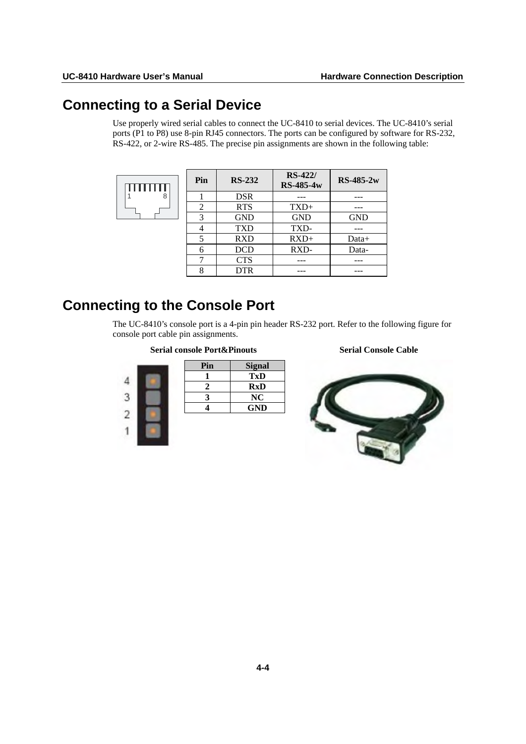## <span id="page-18-1"></span><span id="page-18-0"></span>**Connecting to a Serial Device**

Use properly wired serial cables to connect the UC-8410 to serial devices. The UC-8410's serial ports (P1 to P8) use 8-pin RJ45 connectors. The ports can be configured by software for RS-232, RS-422, or 2-wire RS-485. The precise pin assignments are shown in the following table:

|   | Pin            | <b>RS-232</b> | <b>RS-422/</b><br><b>RS-485-4w</b> | $RS-485-2w$ |
|---|----------------|---------------|------------------------------------|-------------|
| 8 |                | <b>DSR</b>    |                                    |             |
|   | $\overline{2}$ | <b>RTS</b>    | $TXD+$                             |             |
|   | 3              | <b>GND</b>    | <b>GND</b>                         | <b>GND</b>  |
|   | 4              | <b>TXD</b>    | TXD-                               |             |
|   | 5              | <b>RXD</b>    | $RXD+$                             | Data+       |
|   | 6              | <b>DCD</b>    | RXD-                               | Data-       |
|   | 7              | <b>CTS</b>    |                                    |             |
|   | 8              | <b>DTR</b>    |                                    |             |

## <span id="page-18-2"></span>**Connecting to the Console Port**

The UC-8410's console port is a 4-pin pin header RS-232 port. Refer to the following figure for console port cable pin assignments.

#### **Serial console Port&Pinouts Serial Console Cable**

| Pin | <b>Signal</b> |
|-----|---------------|
|     | TxD           |
|     | <b>RxD</b>    |
|     | NC            |
|     | <b>GND</b>    |
|     |               |

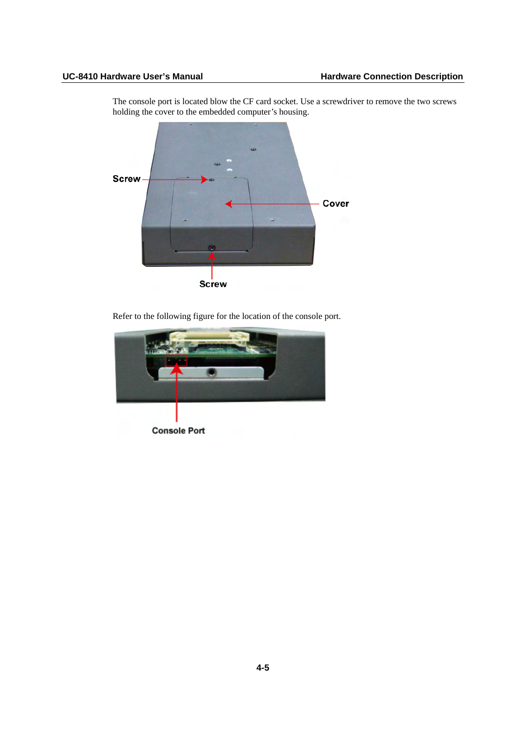The console port is located blow the CF card socket. Use a screwdriver to remove the two screws holding the cover to the embedded computer's housing.



Refer to the following figure for the location of the console port.

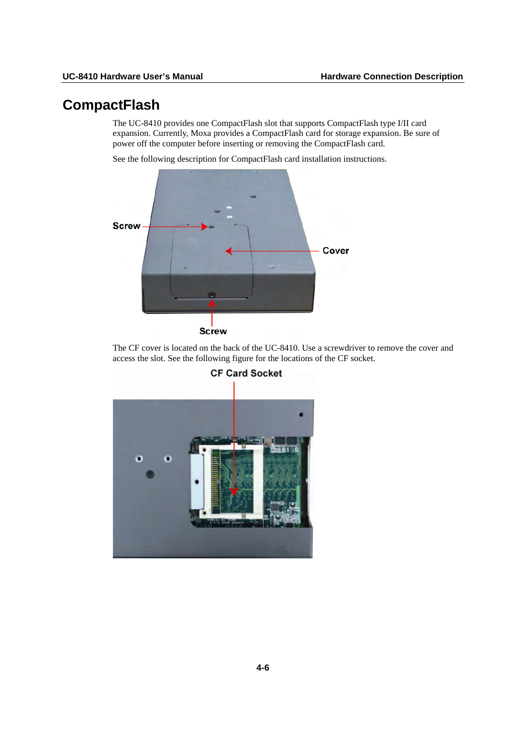## <span id="page-20-1"></span><span id="page-20-0"></span>**CompactFlash**

The UC-8410 provides one CompactFlash slot that supports CompactFlash type I/II card expansion. Currently, Moxa provides a CompactFlash card for storage expansion. Be sure of power off the computer before inserting or removing the CompactFlash card.

See the following description for CompactFlash card installation instructions.



The CF cover is located on the back of the UC-8410. Use a screwdriver to remove the cover and access the slot. See the following figure for the locations of the CF socket.



**CF Card Socket**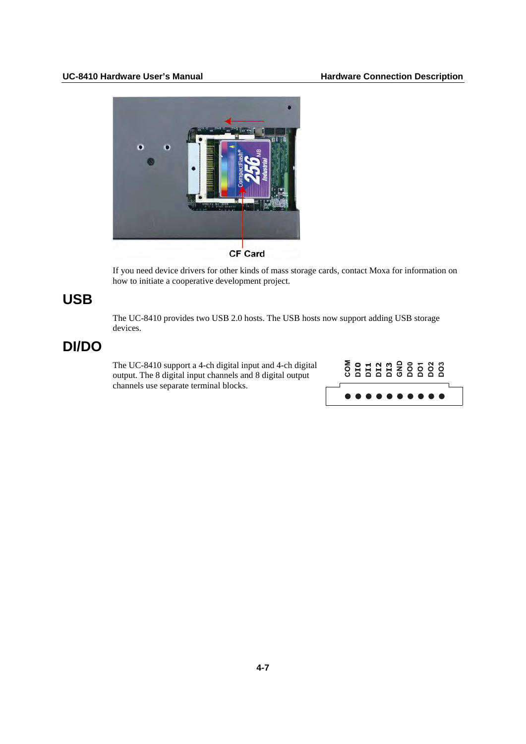<span id="page-21-0"></span>

CF Card

If you need device drivers for other kinds of mass storage cards, contact Moxa for information on how to initiate a cooperative development project.

## **USB**

The UC-8410 provides two USB 2.0 hosts. The USB hosts now support adding USB storage devices.

## **DI/DO**

The UC-8410 support a 4-ch digital input and 4-ch digital output. The 8 digital input channels and 8 digital output channels use separate terminal blocks.

|  |  |  | <b>CONDENSES</b> |  |  |  |
|--|--|--|------------------|--|--|--|
|  |  |  | .                |  |  |  |